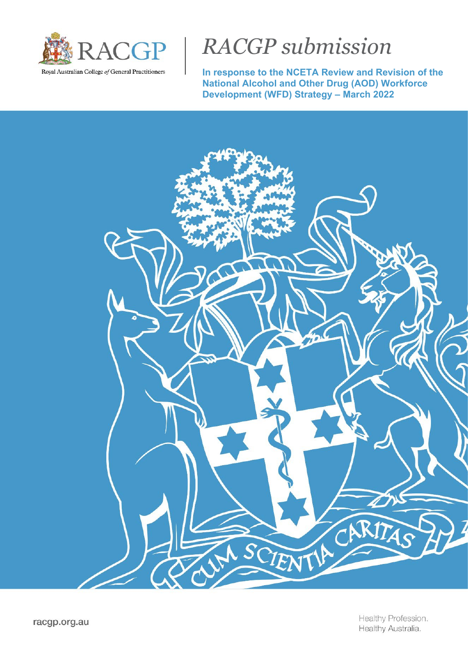

# *RACGP submission*

**In response to the NCETA Review and Revision of the National Alcohol and Other Drug (AOD) Workforce Development (WFD) Strategy – March 2022**

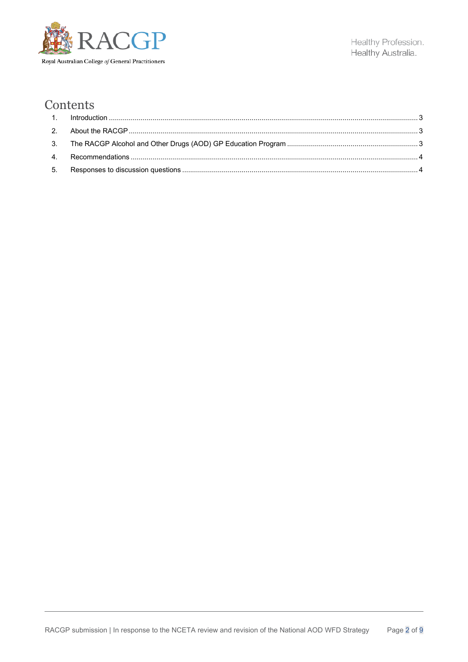

## Contents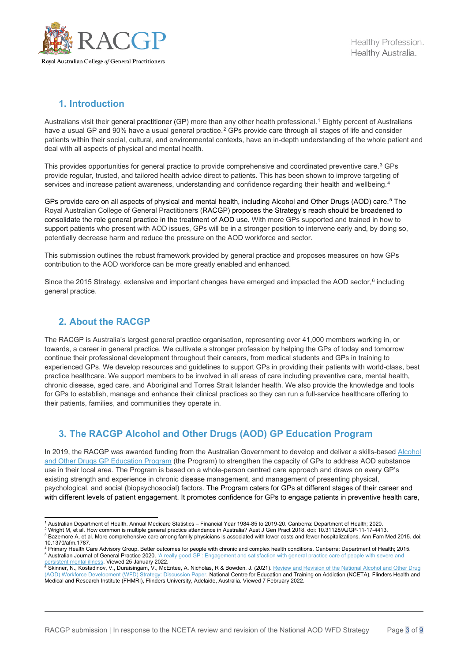

## <span id="page-2-0"></span>**1. Introduction**

Australians visit their general practitioner (GP) more than any other health professional.<sup>[1](#page-2-3)</sup> Eighty percent of Australians have a usual GP and 90% have a usual general practice.<sup>[2](#page-2-4)</sup> GPs provide care through all stages of life and consider patients within their social, cultural, and environmental contexts, have an in-depth understanding of the whole patient and deal with all aspects of physical and mental health.

This provides opportunities for general practice to provide comprehensive and coordinated preventive care.[3](#page-2-5) GPs provide regular, trusted, and tailored health advice direct to patients. This has been shown to improve targeting of services and increase patient awareness, understanding and confidence regarding their health and wellbeing.<sup>[4](#page-2-6)</sup>

GPs provide care on all aspects of physical and mental health, including Alcohol and Other Drugs (AOD) care.<sup>[5](#page-2-7)</sup> The Royal Australian College of General Practitioners (RACGP) proposes the Strategy's reach should be broadened to consolidate the role general practice in the treatment of AOD use. With more GPs supported and trained in how to support patients who present with AOD issues, GPs will be in a stronger position to intervene early and, by doing so, potentially decrease harm and reduce the pressure on the AOD workforce and sector.

This submission outlines the robust framework provided by general practice and proposes measures on how GPs contribution to the AOD workforce can be more greatly enabled and enhanced.

Since the 2015 Strategy, extensive and important changes have emerged and impacted the AOD sector,<sup>[6](#page-2-8)</sup> including general practice.

## <span id="page-2-1"></span>**2. About the RACGP**

The RACGP is Australia's largest general practice organisation, representing over 41,000 members working in, or towards, a career in general practice. We cultivate a stronger profession by helping the GPs of today and tomorrow continue their professional development throughout their careers, from medical students and GPs in training to experienced GPs. We develop resources and guidelines to support GPs in providing their patients with world-class, best practice healthcare. We support members to be involved in all areas of care including preventive care, mental health, chronic disease, aged care, and Aboriginal and Torres Strait Islander health. We also provide the knowledge and tools for GPs to establish, manage and enhance their clinical practices so they can run a full-service healthcare offering to their patients, families, and communities they operate in.

## <span id="page-2-2"></span>**3. The RACGP Alcohol and Other Drugs (AOD) GP Education Program**

In 2019, the RACGP was awarded funding from the Australian Government to develop and deliver a skills-based Alcohol [and Other Drugs GP Education Program](https://www.racgp.org.au/education/professional-development/courses/alcohol-and-other-drugs) (the Program) to strengthen the capacity of GPs to address AOD substance use in their local area. The Program is based on a whole-person centred care approach and draws on every GP's existing strength and experience in chronic disease management, and management of presenting physical, psychological, and social (biopsychosocial) factors. The Program caters for GPs at different stages of their career and with different levels of patient engagement. It promotes confidence for GPs to engage patients in preventive health care,

<span id="page-2-3"></span><sup>1</sup> Australian Department of Health. Annual Medicare Statistics – Financial Year 1984-85 to 2019-20. Canberra: Department of Health; 2020.

<sup>2</sup> Wright M, et al. How common is multiple general practice attendance in Australia? Aust J Gen Pract 2018. doi: 10.31128/AJGP-11-17-4413.

<span id="page-2-5"></span><span id="page-2-4"></span><sup>3</sup> Bazemore A, et al. More comprehensive care among family physicians is associated with lower costs and fewer hospitalizations. Ann Fam Med 2015. doi: 10.1370/afm.1787.

<span id="page-2-7"></span><span id="page-2-6"></span><sup>&</sup>lt;sup>4</sup> Primary Health Care Advisory Group. Better outcomes for people with chronic and complex health conditions. Canberra: Department of Health; 2015.<br><sup>5</sup> Australian Journal of General Practice 2020. <u>'A really good GP': Eng</u> <sup>5</sup> Australian Journal of General Practice 2020. <u>'A really good GP': Engagement and satisfaction with general practice care of people with severe and</u> [persistent mental illness.](https://www1.racgp.org.au/ajgp/2020/january-february/a-really-good-gp) Viewed 25 January 2022.<br><sup>6</sup> Skinner, N., Kostadinov, V., Duraisingam, V., McEntee, A. Nicholas, R & Bowden, J. (2021). <u>Review and Revision of the National Alcohol and Other Drug</u>

<span id="page-2-8"></span>[<sup>\(</sup>AOD\) Workforce Development \(WFD\) Strategy: Discussion Paper.](https://nceta.flinders.edu.au/application/files/7016/3969/7235/AOD_WFD_Strategy_Discussion_Paper_-_FINAL_.pdf) National Centre for Education and Training on Addiction (NCETA), Flinders Health and Medical and Research Institute (FHMRI), Flinders University, Adelaide, Australia. Viewed 7 February 2022.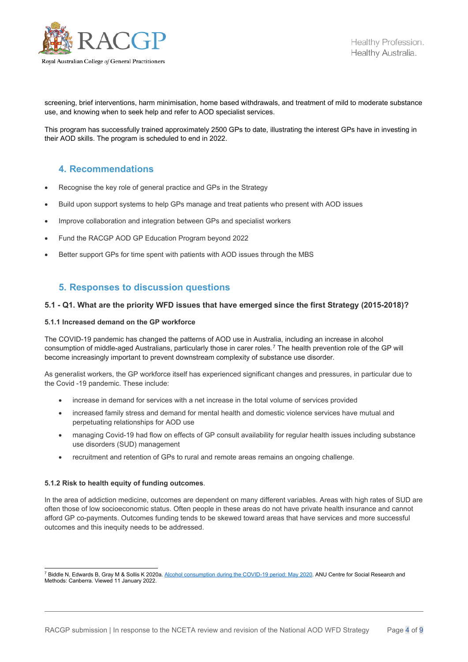

screening, brief interventions, harm minimisation, home based withdrawals, and treatment of mild to moderate substance use, and knowing when to seek help and refer to AOD specialist services.

This program has successfully trained approximately 2500 GPs to date, illustrating the interest GPs have in investing in their AOD skills. The program is scheduled to end in 2022.

## <span id="page-3-0"></span>**4. Recommendations**

- Recognise the key role of general practice and GPs in the Strategy
- Build upon support systems to help GPs manage and treat patients who present with AOD issues
- Improve collaboration and integration between GPs and specialist workers
- Fund the RACGP AOD GP Education Program beyond 2022
- Better support GPs for time spent with patients with AOD issues through the MBS

### <span id="page-3-1"></span>**5. Responses to discussion questions**

#### **5.1 - Q1. What are the priority WFD issues that have emerged since the first Strategy (2015-2018)?**

#### **5.1.1 Increased demand on the GP workforce**

The COVID-19 pandemic has changed the patterns of AOD use in Australia, including an increase in alcohol consumption of middle-aged Australians, particularly those in carer roles.<sup>[7](#page-3-2)</sup> The health prevention role of the GP will become increasingly important to prevent downstream complexity of substance use disorder.

As generalist workers, the GP workforce itself has experienced significant changes and pressures, in particular due to the Covid -19 pandemic. These include:

- increase in demand for services with a net increase in the total volume of services provided
- increased family stress and demand for mental health and domestic violence services have mutual and perpetuating relationships for AOD use
- managing Covid-19 had flow on effects of GP consult availability for regular health issues including substance use disorders (SUD) management
- recruitment and retention of GPs to rural and remote areas remains an ongoing challenge.

#### **5.1.2 Risk to health equity of funding outcomes**.

In the area of addiction medicine, outcomes are dependent on many different variables. Areas with high rates of SUD are often those of low socioeconomic status. Often people in these areas do not have private health insurance and cannot afford GP co-payments. Outcomes funding tends to be skewed toward areas that have services and more successful outcomes and this inequity needs to be addressed.

<span id="page-3-2"></span><sup>&</sup>lt;sup>7</sup> Biddle N, Edwards B, Gray M & Sollis K 2020a. [Alcohol consumption during the COVID-19 period: May 2020.](https://csrm.cass.anu.edu.au/research/publications/alcohol-consumption-during-covid-19-period-may-2020) ANU Centre for Social Research and Methods: Canberra. Viewed 11 January 2022.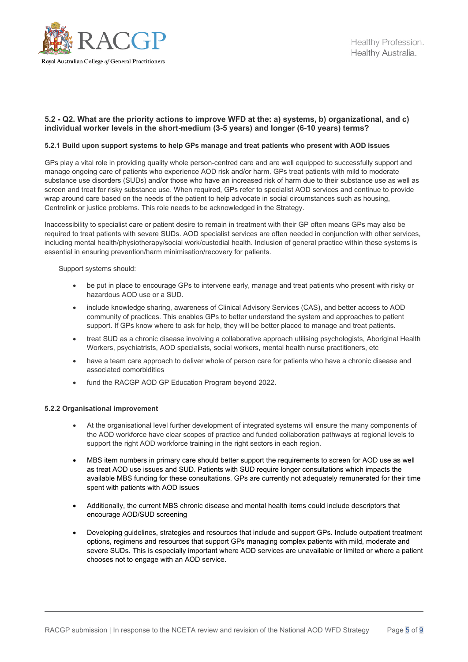

#### **5.2 - Q2. What are the priority actions to improve WFD at the: a) systems, b) organizational, and c) individual worker levels in the short-medium (3-5 years) and longer (6-10 years) terms?**

#### **5.2.1 Build upon support systems to help GPs manage and treat patients who present with AOD issues**

GPs play a vital role in providing quality whole person-centred care and are well equipped to successfully support and manage ongoing care of patients who experience AOD risk and/or harm. GPs treat patients with mild to moderate substance use disorders (SUDs) and/or those who have an increased risk of harm due to their substance use as well as screen and treat for risky substance use. When required, GPs refer to specialist AOD services and continue to provide wrap around care based on the needs of the patient to help advocate in social circumstances such as housing, Centrelink or justice problems. This role needs to be acknowledged in the Strategy.

Inaccessibility to specialist care or patient desire to remain in treatment with their GP often means GPs may also be required to treat patients with severe SUDs. AOD specialist services are often needed in conjunction with other services, including mental health/physiotherapy/social work/custodial health. Inclusion of general practice within these systems is essential in ensuring prevention/harm minimisation/recovery for patients.

Support systems should:

- be put in place to encourage GPs to intervene early, manage and treat patients who present with risky or hazardous AOD use or a SUD.
- include knowledge sharing, awareness of Clinical Advisory Services (CAS), and better access to AOD community of practices. This enables GPs to better understand the system and approaches to patient support. If GPs know where to ask for help, they will be better placed to manage and treat patients.
- treat SUD as a chronic disease involving a collaborative approach utilising psychologists, Aboriginal Health Workers, psychiatrists, AOD specialists, social workers, mental health nurse practitioners, etc
- have a team care approach to deliver whole of person care for patients who have a chronic disease and associated comorbidities
- fund the RACGP AOD GP Education Program beyond 2022.

#### **5.2.2 Organisational improvement**

- At the organisational level further development of integrated systems will ensure the many components of the AOD workforce have clear scopes of practice and funded collaboration pathways at regional levels to support the right AOD workforce training in the right sectors in each region.
- MBS item numbers in primary care should better support the requirements to screen for AOD use as well as treat AOD use issues and SUD. Patients with SUD require longer consultations which impacts the available MBS funding for these consultations. GPs are currently not adequately remunerated for their time spent with patients with AOD issues
- Additionally, the current MBS chronic disease and mental health items could include descriptors that encourage AOD/SUD screening
- Developing guidelines, strategies and resources that include and support GPs. Include outpatient treatment options, regimens and resources that support GPs managing complex patients with mild, moderate and severe SUDs. This is especially important where AOD services are unavailable or limited or where a patient chooses not to engage with an AOD service.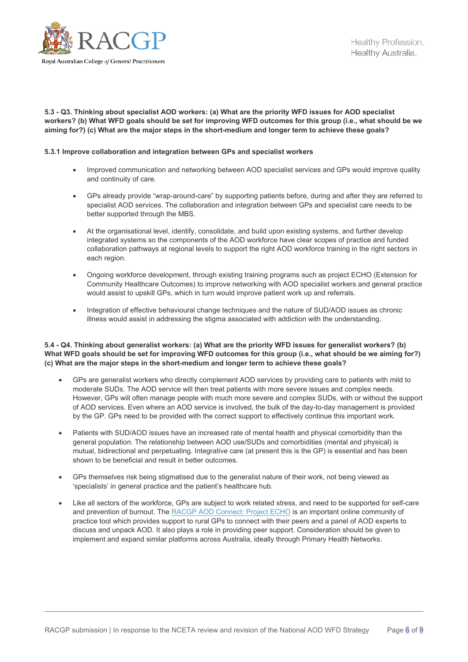

**5.3 - Q3. Thinking about specialist AOD workers: (a) What are the priority WFD issues for AOD specialist workers? (b) What WFD goals should be set for improving WFD outcomes for this group (i.e., what should be we aiming for?) (c) What are the major steps in the short-medium and longer term to achieve these goals?**

#### **5.3.1 Improve collaboration and integration between GPs and specialist workers**

- Improved communication and networking between AOD specialist services and GPs would improve quality and continuity of care.
- GPs already provide "wrap-around-care" by supporting patients before, during and after they are referred to specialist AOD services. The collaboration and integration between GPs and specialist care needs to be better supported through the MBS.
- At the organisational level, identify, consolidate, and build upon existing systems, and further develop integrated systems so the components of the AOD workforce have clear scopes of practice and funded collaboration pathways at regional levels to support the right AOD workforce training in the right sectors in each region.
- Ongoing workforce development, through existing training programs such as project ECHO (Extension for Community Healthcare Outcomes) to improve networking with AOD specialist workers and general practice would assist to upskill GPs, which in turn would improve patient work up and referrals.
- Integration of effective behavioural change techniques and the nature of SUD/AOD issues as chronic illness would assist in addressing the stigma associated with addiction with the understanding.

#### **5.4 - Q4. Thinking about generalist workers: (a) What are the priority WFD issues for generalist workers? (b) What WFD goals should be set for improving WFD outcomes for this group (i.e., what should be we aiming for?) (c) What are the major steps in the short-medium and longer term to achieve these goals?**

- GPs are generalist workers who directly complement AOD services by providing care to patients with mild to moderate SUDs. The AOD service will then treat patients with more severe issues and complex needs. However, GPs will often manage people with much more severe and complex SUDs, with or without the support of AOD services. Even where an AOD service is involved, the bulk of the day-to-day management is provided by the GP. GPs need to be provided with the correct support to effectively continue this important work.
- Patients with SUD/AOD issues have an increased rate of mental health and physical comorbidity than the general population. The relationship between AOD use/SUDs and comorbidities (mental and physical) is mutual, bidirectional and perpetuating. Integrative care (at present this is the GP) is essential and has been shown to be beneficial and result in better outcomes.
- GPs themselves risk being stigmatised due to the generalist nature of their work, not being viewed as 'specialists' in general practice and the patient's healthcare hub.
- Like all sectors of the workforce, GPs are subject to work related stress, and need to be supported for self-care and prevention of burnout. The [RACGP AOD Connect: Project ECHO](https://www.racgp.org.au/education/professional-development/courses/alcohol-and-other-drugs/what-is-project-echo) is an important online community of practice tool which provides support to rural GPs to connect with their peers and a panel of AOD experts to discuss and unpack AOD. It also plays a role in providing peer support. Consideration should be given to implement and expand similar platforms across Australia, ideally through Primary Health Networks.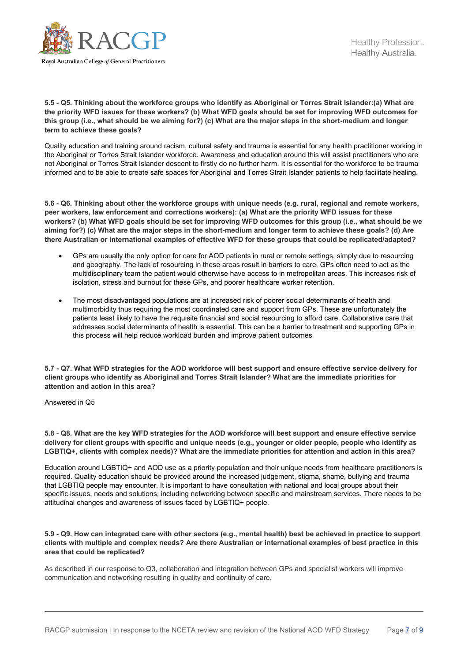

**5.5 - Q5. Thinking about the workforce groups who identify as Aboriginal or Torres Strait Islander:(a) What are the priority WFD issues for these workers? (b) What WFD goals should be set for improving WFD outcomes for this group (i.e., what should be we aiming for?) (c) What are the major steps in the short-medium and longer term to achieve these goals?**

Quality education and training around racism, cultural safety and trauma is essential for any health practitioner working in the Aboriginal or Torres Strait Islander workforce. Awareness and education around this will assist practitioners who are not Aboriginal or Torres Strait Islander descent to firstly do no further harm. It is essential for the workforce to be trauma informed and to be able to create safe spaces for Aboriginal and Torres Strait Islander patients to help facilitate healing.

**5.6 - Q6. Thinking about other the workforce groups with unique needs (e.g. rural, regional and remote workers, peer workers, law enforcement and corrections workers): (a) What are the priority WFD issues for these workers? (b) What WFD goals should be set for improving WFD outcomes for this group (i.e., what should be we aiming for?) (c) What are the major steps in the short-medium and longer term to achieve these goals? (d) Are there Australian or international examples of effective WFD for these groups that could be replicated/adapted?**

- GPs are usually the only option for care for AOD patients in rural or remote settings, simply due to resourcing and geography. The lack of resourcing in these areas result in barriers to care. GPs often need to act as the multidisciplinary team the patient would otherwise have access to in metropolitan areas. This increases risk of isolation, stress and burnout for these GPs, and poorer healthcare worker retention.
- The most disadvantaged populations are at increased risk of poorer social determinants of health and multimorbidity thus requiring the most coordinated care and support from GPs. These are unfortunately the patients least likely to have the requisite financial and social resourcing to afford care. Collaborative care that addresses social determinants of health is essential. This can be a barrier to treatment and supporting GPs in this process will help reduce workload burden and improve patient outcomes

**5.7 - Q7. What WFD strategies for the AOD workforce will best support and ensure effective service delivery for client groups who identify as Aboriginal and Torres Strait Islander? What are the immediate priorities for attention and action in this area?**

Answered in Q5

**5.8 - Q8. What are the key WFD strategies for the AOD workforce will best support and ensure effective service delivery for client groups with specific and unique needs (e.g., younger or older people, people who identify as LGBTIQ+, clients with complex needs)? What are the immediate priorities for attention and action in this area?**

Education around LGBTIQ+ and AOD use as a priority population and their unique needs from healthcare practitioners is required. Quality education should be provided around the increased judgement, stigma, shame, bullying and trauma that LGBTIQ people may encounter. It is important to have consultation with national and local groups about their specific issues, needs and solutions, including networking between specific and mainstream services. There needs to be attitudinal changes and awareness of issues faced by LGBTIQ+ people.

**5.9 - Q9. How can integrated care with other sectors (e.g., mental health) best be achieved in practice to support clients with multiple and complex needs? Are there Australian or international examples of best practice in this area that could be replicated?**

As described in our response to Q3, collaboration and integration between GPs and specialist workers will improve communication and networking resulting in quality and continuity of care.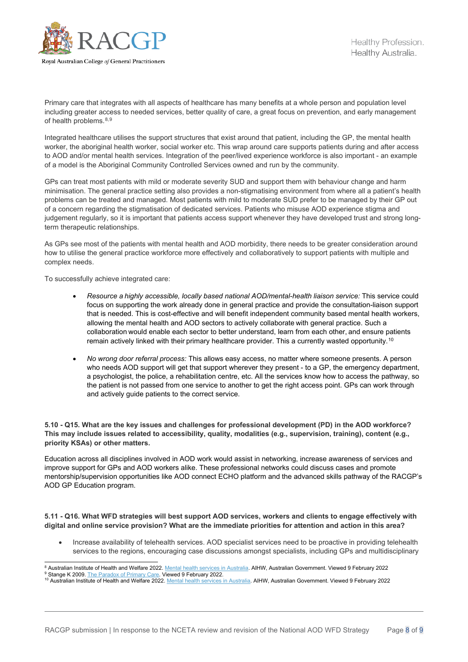

Primary care that integrates with all aspects of healthcare has many benefits at a whole person and population level including greater access to needed services, better quality of care, a great focus on prevention, and early management of health problems. $8,9$  $8,9$  $8,9$ 

Integrated healthcare utilises the support structures that exist around that patient, including the GP, the mental health worker, the aboriginal health worker, social worker etc. This wrap around care supports patients during and after access to AOD and/or mental health services. Integration of the peer/lived experience workforce is also important - an example of a model is the Aboriginal Community Controlled Services owned and run by the community.

GPs can treat most patients with mild or moderate severity SUD and support them with behaviour change and harm minimisation. The general practice setting also provides a non-stigmatising environment from where all a patient's health problems can be treated and managed. Most patients with mild to moderate SUD prefer to be managed by their GP out of a concern regarding the stigmatisation of dedicated services. Patients who misuse AOD experience stigma and judgement regularly, so it is important that patients access support whenever they have developed trust and strong longterm therapeutic relationships.

As GPs see most of the patients with mental health and AOD morbidity, there needs to be greater consideration around how to utilise the general practice workforce more effectively and collaboratively to support patients with multiple and complex needs.

To successfully achieve integrated care:

- *Resource a highly accessible, locally based national AOD/mental-health liaison service:* This service could focus on supporting the work already done in general practice and provide the consultation-liaison support that is needed. This is cost-effective and will benefit independent community based mental health workers, allowing the mental health and AOD sectors to actively collaborate with general practice. Such a collaboration would enable each sector to better understand, learn from each other, and ensure patients remain actively linked with their primary healthcare provider. This a currently wasted opportunity.[10](#page-7-2)
- *No wrong door referral process:* This allows easy access, no matter where someone presents. A person who needs AOD support will get that support wherever they present - to a GP, the emergency department, a psychologist, the police, a rehabilitation centre, etc. All the services know how to access the pathway, so the patient is not passed from one service to another to get the right access point. GPs can work through and actively guide patients to the correct service.

#### **5.10 - Q15. What are the key issues and challenges for professional development (PD) in the AOD workforce? This may include issues related to accessibility, quality, modalities (e.g., supervision, training), content (e.g., priority KSAs) or other matters.**

Education across all disciplines involved in AOD work would assist in networking, increase awareness of services and improve support for GPs and AOD workers alike. These professional networks could discuss cases and promote mentorship/supervision opportunities like AOD connect ECHO platform and the advanced skills pathway of the RACGP's AOD GP Education program.

#### **5.11 - Q16. What WFD strategies will best support AOD services, workers and clients to engage effectively with digital and online service provision? What are the immediate priorities for attention and action in this area?**

• Increase availability of telehealth services. AOD specialist services need to be proactive in providing telehealth services to the regions, encouraging case discussions amongst specialists, including GPs and multidisciplinary

<span id="page-7-0"></span><sup>&</sup>lt;sup>8</sup> Australian Institute of Health and Welfare 2022. [Mental health services in Australia.](https://www.aihw.gov.au/reports/mental-health-services/mental-health-services-in-australia/report-contents/summary-of-mental-health-services-in-australia) AIHW, Australian Government. Viewed 9 February 2022

<sup>9</sup> Stange K 2009[. The Paradox of Primary Care.](https://www.ncbi.nlm.nih.gov/pmc/articles/PMC2713149/) Viewed 9 February 2022.

<span id="page-7-2"></span><span id="page-7-1"></span><sup>10</sup> Australian Institute of Health and Welfare 2022[. Mental health services in Australia.](https://www.aihw.gov.au/reports/mental-health-services/mental-health-services-in-australia/report-contents/summary-of-mental-health-services-in-australia) AIHW, Australian Government. Viewed 9 February 2022